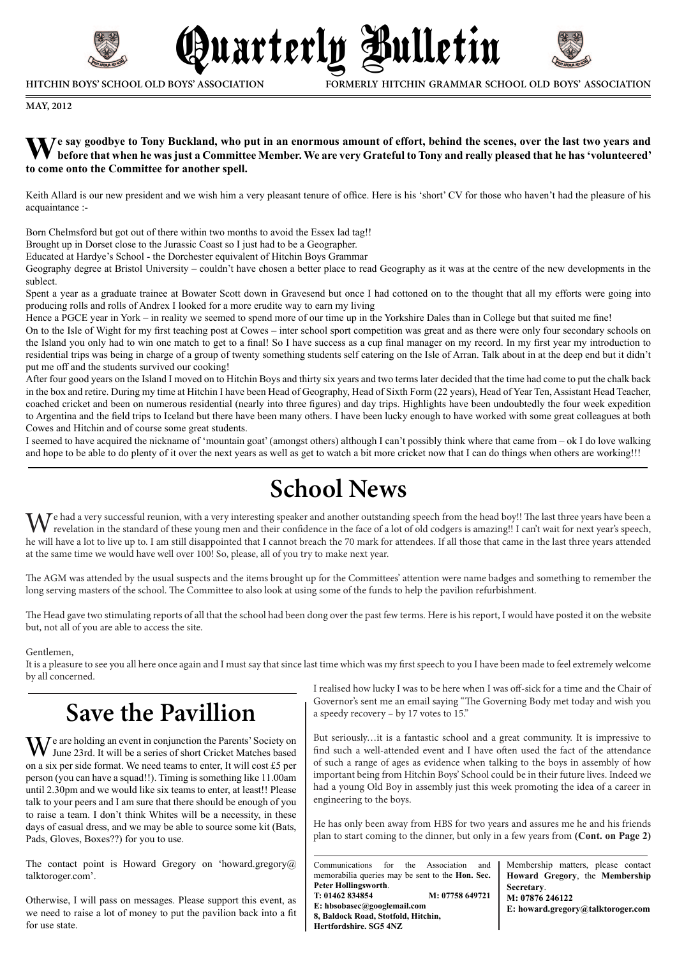

**HITCHIN BOYS' SCHOOL OLD BOYS' ASSOCIATION**

**FORMERLY HITCHIN GRAMMAR SCHOOL OLD BOYS' ASSOCIATION**

**MAY, 2012**

#### **We say goodbye to Tony Buckland, who put in an enormous amount of effort, behind the scenes, over the last two years and before that when he was just a Committee Member. We are very Grateful to Tony and really pleased that he has 'volunteered' to come onto the Committee for another spell.**

Quarterly Bulletin

Keith Allard is our new president and we wish him a very pleasant tenure of office. Here is his 'short' CV for those who haven't had the pleasure of his acquaintance :-

Born Chelmsford but got out of there within two months to avoid the Essex lad tag!!

Brought up in Dorset close to the Jurassic Coast so I just had to be a Geographer.

Educated at Hardye's School - the Dorchester equivalent of Hitchin Boys Grammar

Geography degree at Bristol University – couldn't have chosen a better place to read Geography as it was at the centre of the new developments in the sublect.

Spent a year as a graduate trainee at Bowater Scott down in Gravesend but once I had cottoned on to the thought that all my efforts were going into producing rolls and rolls of Andrex I looked for a more erudite way to earn my living

Hence a PGCE year in York – in reality we seemed to spend more of our time up in the Yorkshire Dales than in College but that suited me fine!

On to the Isle of Wight for my first teaching post at Cowes – inter school sport competition was great and as there were only four secondary schools on the Island you only had to win one match to get to a final! So I have success as a cup final manager on my record. In my first year my introduction to residential trips was being in charge of a group of twenty something students self catering on the Isle of Arran. Talk about in at the deep end but it didn't put me off and the students survived our cooking!

After four good years on the Island I moved on to Hitchin Boys and thirty six years and two terms later decided that the time had come to put the chalk back in the box and retire. During my time at Hitchin I have been Head of Geography, Head of Sixth Form (22 years), Head of Year Ten, Assistant Head Teacher, coached cricket and been on numerous residential (nearly into three figures) and day trips. Highlights have been undoubtedly the four week expedition to Argentina and the field trips to Iceland but there have been many others. I have been lucky enough to have worked with some great colleagues at both Cowes and Hitchin and of course some great students.

I seemed to have acquired the nickname of 'mountain goat' (amongst others) although I can't possibly think where that came from – ok I do love walking and hope to be able to do plenty of it over the next years as well as get to watch a bit more cricket now that I can do things when others are working!!!

## **School News**

We had a very successful reunion, with a very interesting speaker and another outstanding speech from the head boy!! The last three years have been a revelation in the standard of these young men and their confidence in the face of a lot of old codgers is amazing!! I can't wait for next year's speech, he will have a lot to live up to. I am still disappointed that I cannot breach the 70 mark for attendees. If all those that came in the last three years attended at the same time we would have well over 100! So, please, all of you try to make next year.

The AGM was attended by the usual suspects and the items brought up for the Committees' attention were name badges and something to remember the long serving masters of the school. The Committee to also look at using some of the funds to help the pavilion refurbishment.

The Head gave two stimulating reports of all that the school had been dong over the past few terms. Here is his report, I would have posted it on the website but, not all of you are able to access the site.

#### Gentlemen,

It is a pleasure to see you all here once again and I must say that since last time which was my first speech to you I have been made to feel extremely welcome by all concerned.

## **Save the Pavillion**

**T** e are holding an event in conjunction the Parents' Society on June 23rd. It will be a series of short Cricket Matches based on a six per side format. We need teams to enter, It will cost £5 per person (you can have a squad!!). Timing is something like 11.00am until 2.30pm and we would like six teams to enter, at least!! Please talk to your peers and I am sure that there should be enough of you to raise a team. I don't think Whites will be a necessity, in these days of casual dress, and we may be able to source some kit (Bats, Pads, Gloves, Boxes??) for you to use.

The contact point is Howard Gregory on 'howard.gregory@ talktoroger.com'.

Otherwise, I will pass on messages. Please support this event, as we need to raise a lot of money to put the pavilion back into a fit for use state.

I realised how lucky I was to be here when I was off-sick for a time and the Chair of Governor's sent me an email saying "The Governing Body met today and wish you a speedy recovery – by 17 votes to 15."

But seriously…it is a fantastic school and a great community. It is impressive to find such a well-attended event and I have often used the fact of the attendance of such a range of ages as evidence when talking to the boys in assembly of how important being from Hitchin Boys' School could be in their future lives. Indeed we had a young Old Boy in assembly just this week promoting the idea of a career in engineering to the boys.

He has only been away from HBS for two years and assures me he and his friends plan to start coming to the dinner, but only in a few years from **(Cont. on Page 2)**

Communications for the Association and memorabilia queries may be sent to the **Hon. Sec. Peter Hollingsworth**. **T: 01462 834854 M: 07758 649721 E: hbsobasec@googlemail.com 8, Baldock Road, Stotfold, Hitchin, Hertfordshire. SG5 4NZ**

Membership matters, please contact **Howard Gregory**, the **Membership Secretary**. **M: 07876 246122 E: howard.gregory@talktoroger.com**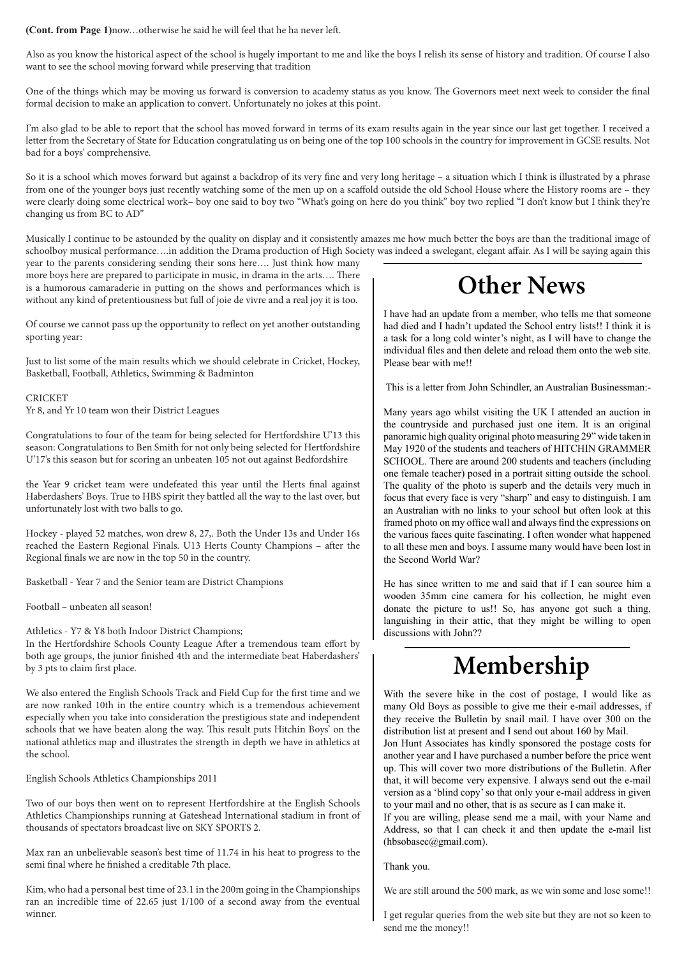#### **(Cont. from Page 1)**now…otherwise he said he will feel that he ha never left.

Also as you know the historical aspect of the school is hugely important to me and like the boys I relish its sense of history and tradition. Of course I also want to see the school moving forward while preserving that tradition

One of the things which may be moving us forward is conversion to academy status as you know. The Governors meet next week to consider the final formal decision to make an application to convert. Unfortunately no jokes at this point.

I'm also glad to be able to report that the school has moved forward in terms of its exam results again in the year since our last get together. I received a letter from the Secretary of State for Education congratulating us on being one of the top 100 schools in the country for improvement in GCSE results. Not bad for a boys' comprehensive.

So it is a school which moves forward but against a backdrop of its very fine and very long heritage – a situation which I think is illustrated by a phrase from one of the younger boys just recently watching some of the men up on a scaffold outside the old School House where the History rooms are – they were clearly doing some electrical work– boy one said to boy two "What's going on here do you think" boy two replied "I don't know but I think they're changing us from BC to AD"

Musically I continue to be astounded by the quality on display and it consistently amazes me how much better the boys are than the traditional image of schoolboy musical performance….in addition the Drama production of High Society was indeed a swelegant, elegant affair. As I will be saying again this

year to the parents considering sending their sons here…. Just think how many more boys here are prepared to participate in music, in drama in the arts…. There is a humorous camaraderie in putting on the shows and performances which is without any kind of pretentiousness but full of joie de vivre and a real joy it is too.

Of course we cannot pass up the opportunity to reflect on yet another outstanding sporting year:

Just to list some of the main results which we should celebrate in Cricket, Hockey, Basketball, Football, Athletics, Swimming & Badminton

**CRICKET** 

Yr 8, and Yr 10 team won their District Leagues

Congratulations to four of the team for being selected for Hertfordshire U'13 this season: Congratulations to Ben Smith for not only being selected for Hertfordshire U'17's this season but for scoring an unbeaten 105 not out against Bedfordshire

the Year 9 cricket team were undefeated this year until the Herts final against Haberdashers' Boys. True to HBS spirit they battled all the way to the last over, but unfortunately lost with two balls to go.

Hockey - played 52 matches, won drew 8, 27,. Both the Under 13s and Under 16s reached the Eastern Regional Finals. U13 Herts County Champions – after the Regional finals we are now in the top 50 in the country.

Basketball - Year 7 and the Senior team are District Champions

Football – unbeaten all season!

Athletics - Y7 & Y8 both Indoor District Champions;

In the Hertfordshire Schools County League After a tremendous team effort by both age groups, the junior finished 4th and the intermediate beat Haberdashers' by 3 pts to claim first place.

We also entered the English Schools Track and Field Cup for the first time and we are now ranked 10th in the entire country which is a tremendous achievement especially when you take into consideration the prestigious state and independent schools that we have beaten along the way. This result puts Hitchin Boys' on the national athletics map and illustrates the strength in depth we have in athletics at the school.

English Schools Athletics Championships 2011

Two of our boys then went on to represent Hertfordshire at the English Schools Athletics Championships running at Gateshead International stadium in front of thousands of spectators broadcast live on SKY SPORTS 2.

Max ran an unbelievable season's best time of 11.74 in his heat to progress to the semi final where he finished a creditable 7th place.

Kim, who had a personal best time of 23.1 in the 200m going in the Championships ran an incredible time of 22.65 just 1/100 of a second away from the eventual winner.

# **Other News**

I have had an update from a member, who tells me that someone had died and I hadn't updated the School entry lists!! I think it is a task for a long cold winter's night, as I will have to change the individual files and then delete and reload them onto the web site. Please bear with me!!

This is a letter from John Schindler, an Australian Businessman:-

Many years ago whilst visiting the UK I attended an auction in the countryside and purchased just one item. It is an original panoramic high quality original photo measuring 29" wide taken in May 1920 of the students and teachers of HITCHIN GRAMMER SCHOOL. There are around 200 students and teachers (including one female teacher) posed in a portrait sitting outside the school. The quality of the photo is superb and the details very much in focus that every face is very "sharp" and easy to distinguish. I am an Australian with no links to your school but often look at this framed photo on my office wall and always find the expressions on the various faces quite fascinating. I often wonder what happened to all these men and boys. I assume many would have been lost in the Second World War?

He has since written to me and said that if I can source him a wooden 35mm cine camera for his collection, he might even donate the picture to us!! So, has anyone got such a thing, languishing in their attic, that they might be willing to open discussions with John??

## **Membership**

With the severe hike in the cost of postage, I would like as many Old Boys as possible to give me their e-mail addresses, if they receive the Bulletin by snail mail. I have over 300 on the distribution list at present and I send out about 160 by Mail.

Jon Hunt Associates has kindly sponsored the postage costs for another year and I have purchased a number before the price went up. This will cover two more distributions of the Bulletin. After that, it will become very expensive. I always send out the e-mail version as a 'blind copy' so that only your e-mail address in given to your mail and no other, that is as secure as I can make it.

If you are willing, please send me a mail, with your Name and Address, so that I can check it and then update the e-mail list (hbsobasec@gmail.com).

Thank you.

We are still around the 500 mark, as we win some and lose some!!

I get regular queries from the web site but they are not so keen to send me the money!!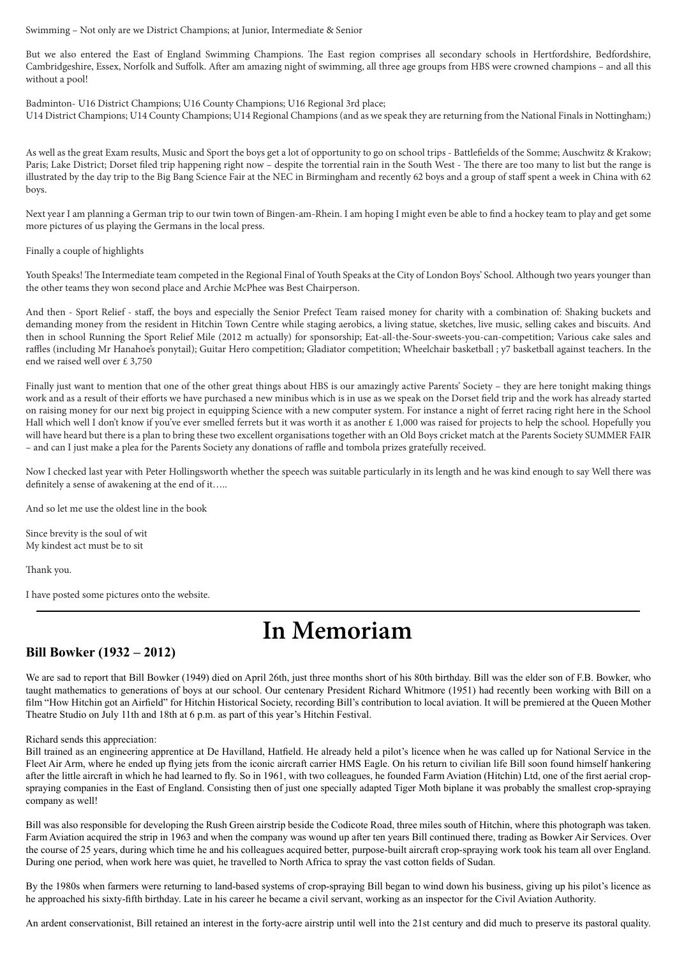#### Swimming – Not only are we District Champions; at Junior, Intermediate & Senior

But we also entered the East of England Swimming Champions. The East region comprises all secondary schools in Hertfordshire, Bedfordshire, Cambridgeshire, Essex, Norfolk and Suffolk. After am amazing night of swimming, all three age groups from HBS were crowned champions – and all this without a pool!

Badminton- U16 District Champions; U16 County Champions; U16 Regional 3rd place; U14 District Champions; U14 County Champions; U14 Regional Champions (and as we speak they are returning from the National Finals in Nottingham;)

As well as the great Exam results, Music and Sport the boys get a lot of opportunity to go on school trips - Battlefields of the Somme; Auschwitz & Krakow; Paris; Lake District; Dorset filed trip happening right now – despite the torrential rain in the South West - The there are too many to list but the range is illustrated by the day trip to the Big Bang Science Fair at the NEC in Birmingham and recently 62 boys and a group of staff spent a week in China with 62 boys.

Next year I am planning a German trip to our twin town of Bingen-am-Rhein. I am hoping I might even be able to find a hockey team to play and get some more pictures of us playing the Germans in the local press.

#### Finally a couple of highlights

Youth Speaks! The Intermediate team competed in the Regional Final of Youth Speaks at the City of London Boys' School. Although two years younger than the other teams they won second place and Archie McPhee was Best Chairperson.

And then - Sport Relief - staff, the boys and especially the Senior Prefect Team raised money for charity with a combination of: Shaking buckets and demanding money from the resident in Hitchin Town Centre while staging aerobics, a living statue, sketches, live music, selling cakes and biscuits. And then in school Running the Sport Relief Mile (2012 m actually) for sponsorship; Eat-all-the-Sour-sweets-you-can-competition; Various cake sales and raffles (including Mr Hanahoe's ponytail); Guitar Hero competition; Gladiator competition; Wheelchair basketball ; y7 basketball against teachers. In the end we raised well over £ 3,750

Finally just want to mention that one of the other great things about HBS is our amazingly active Parents' Society – they are here tonight making things work and as a result of their efforts we have purchased a new minibus which is in use as we speak on the Dorset field trip and the work has already started on raising money for our next big project in equipping Science with a new computer system. For instance a night of ferret racing right here in the School Hall which well I don't know if you've ever smelled ferrets but it was worth it as another  $\pounds$  1,000 was raised for projects to help the school. Hopefully you will have heard but there is a plan to bring these two excellent organisations together with an Old Boys cricket match at the Parents Society SUMMER FAIR – and can I just make a plea for the Parents Society any donations of raffle and tombola prizes gratefully received.

Now I checked last year with Peter Hollingsworth whether the speech was suitable particularly in its length and he was kind enough to say Well there was definitely a sense of awakening at the end of it…..

And so let me use the oldest line in the book

Since brevity is the soul of wit My kindest act must be to sit

Thank you.

I have posted some pictures onto the website.

## **In Memoriam**

### **Bill Bowker (1932 – 2012)**

We are sad to report that Bill Bowker (1949) died on April 26th, just three months short of his 80th birthday. Bill was the elder son of F.B. Bowker, who taught mathematics to generations of boys at our school. Our centenary President Richard Whitmore (1951) had recently been working with Bill on a film "How Hitchin got an Airfield" for Hitchin Historical Society, recording Bill's contribution to local aviation. It will be premiered at the Queen Mother Theatre Studio on July 11th and 18th at 6 p.m. as part of this year's Hitchin Festival.

#### Richard sends this appreciation:

Bill trained as an engineering apprentice at De Havilland, Hatfield. He already held a pilot's licence when he was called up for National Service in the Fleet Air Arm, where he ended up flying jets from the iconic aircraft carrier HMS Eagle. On his return to civilian life Bill soon found himself hankering after the little aircraft in which he had learned to fly. So in 1961, with two colleagues, he founded Farm Aviation (Hitchin) Ltd, one of the first aerial cropspraying companies in the East of England. Consisting then of just one specially adapted Tiger Moth biplane it was probably the smallest crop-spraying company as well!

Bill was also responsible for developing the Rush Green airstrip beside the Codicote Road, three miles south of Hitchin, where this photograph was taken. Farm Aviation acquired the strip in 1963 and when the company was wound up after ten years Bill continued there, trading as Bowker Air Services. Over the course of 25 years, during which time he and his colleagues acquired better, purpose-built aircraft crop-spraying work took his team all over England. During one period, when work here was quiet, he travelled to North Africa to spray the vast cotton fields of Sudan.

By the 1980s when farmers were returning to land-based systems of crop-spraying Bill began to wind down his business, giving up his pilot's licence as he approached his sixty-fifth birthday. Late in his career he became a civil servant, working as an inspector for the Civil Aviation Authority.

An ardent conservationist, Bill retained an interest in the forty-acre airstrip until well into the 21st century and did much to preserve its pastoral quality.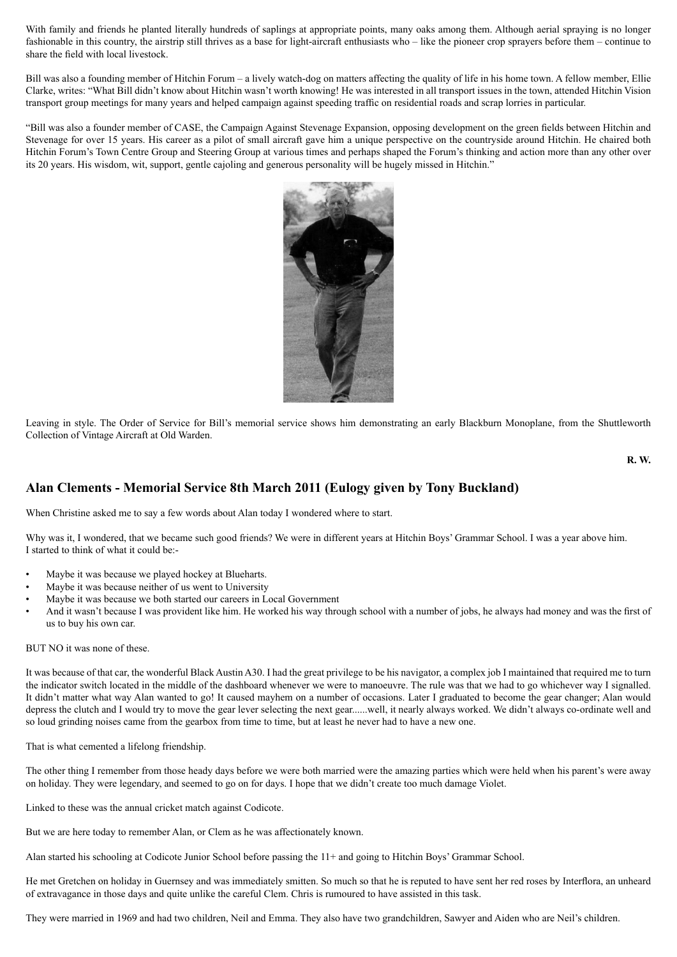With family and friends he planted literally hundreds of saplings at appropriate points, many oaks among them. Although aerial spraying is no longer fashionable in this country, the airstrip still thrives as a base for light-aircraft enthusiasts who – like the pioneer crop sprayers before them – continue to share the field with local livestock.

Bill was also a founding member of Hitchin Forum – a lively watch-dog on matters affecting the quality of life in his home town. A fellow member, Ellie Clarke, writes: "What Bill didn't know about Hitchin wasn't worth knowing! He was interested in all transport issues in the town, attended Hitchin Vision transport group meetings for many years and helped campaign against speeding traffic on residential roads and scrap lorries in particular.

"Bill was also a founder member of CASE, the Campaign Against Stevenage Expansion, opposing development on the green fields between Hitchin and Stevenage for over 15 years. His career as a pilot of small aircraft gave him a unique perspective on the countryside around Hitchin. He chaired both Hitchin Forum's Town Centre Group and Steering Group at various times and perhaps shaped the Forum's thinking and action more than any other over its 20 years. His wisdom, wit, support, gentle cajoling and generous personality will be hugely missed in Hitchin."



Leaving in style. The Order of Service for Bill's memorial service shows him demonstrating an early Blackburn Monoplane, from the Shuttleworth Collection of Vintage Aircraft at Old Warden.

**R. W.** 

## **Alan Clements - Memorial Service 8th March 2011 (Eulogy given by Tony Buckland)**

When Christine asked me to say a few words about Alan today I wondered where to start.

Why was it, I wondered, that we became such good friends? We were in different years at Hitchin Boys' Grammar School. I was a year above him. I started to think of what it could be:-

- Maybe it was because we played hockey at Blueharts.
- Maybe it was because neither of us went to University
- Maybe it was because we both started our careers in Local Government
- And it wasn't because I was provident like him. He worked his way through school with a number of jobs, he always had money and was the first of us to buy his own car.

#### BUT NO it was none of these.

It was because of that car, the wonderful Black Austin A30. I had the great privilege to be his navigator, a complex job I maintained that required me to turn the indicator switch located in the middle of the dashboard whenever we were to manoeuvre. The rule was that we had to go whichever way I signalled. It didn't matter what way Alan wanted to go! It caused mayhem on a number of occasions. Later I graduated to become the gear changer; Alan would depress the clutch and I would try to move the gear lever selecting the next gear......well, it nearly always worked. We didn't always co-ordinate well and so loud grinding noises came from the gearbox from time to time, but at least he never had to have a new one.

That is what cemented a lifelong friendship.

The other thing I remember from those heady days before we were both married were the amazing parties which were held when his parent's were away on holiday. They were legendary, and seemed to go on for days. I hope that we didn't create too much damage Violet.

Linked to these was the annual cricket match against Codicote.

But we are here today to remember Alan, or Clem as he was affectionately known.

Alan started his schooling at Codicote Junior School before passing the 11+ and going to Hitchin Boys' Grammar School.

He met Gretchen on holiday in Guernsey and was immediately smitten. So much so that he is reputed to have sent her red roses by Interflora, an unheard of extravagance in those days and quite unlike the careful Clem. Chris is rumoured to have assisted in this task.

They were married in 1969 and had two children, Neil and Emma. They also have two grandchildren, Sawyer and Aiden who are Neil's children.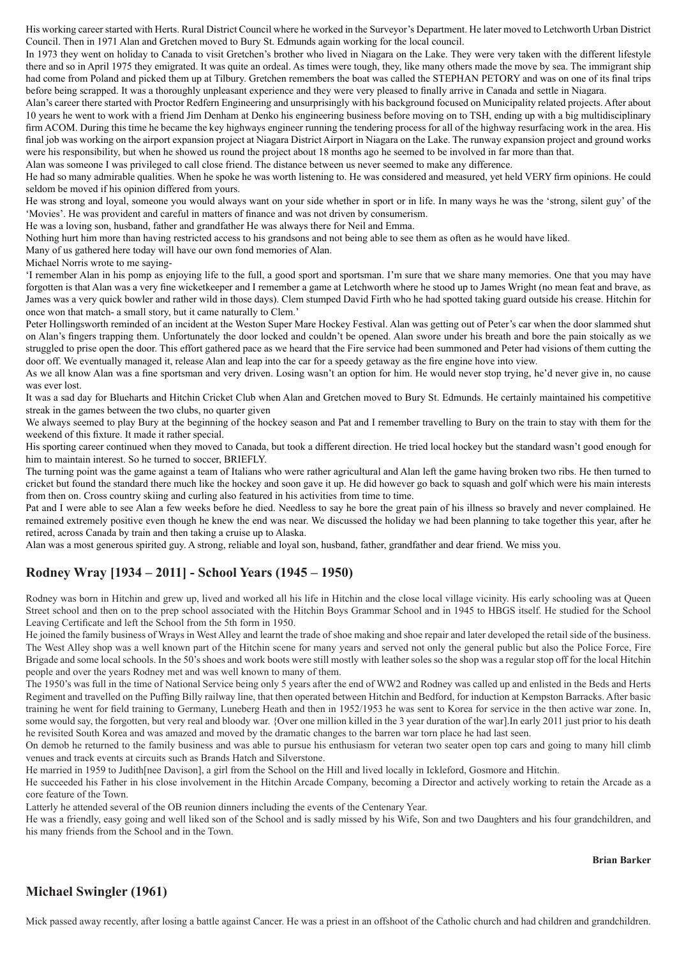His working career started with Herts. Rural District Council where he worked in the Surveyor's Department. He later moved to Letchworth Urban District Council. Then in 1971 Alan and Gretchen moved to Bury St. Edmunds again working for the local council.

In 1973 they went on holiday to Canada to visit Gretchen's brother who lived in Niagara on the Lake. They were very taken with the different lifestyle there and so in April 1975 they emigrated. It was quite an ordeal. As times were tough, they, like many others made the move by sea. The immigrant ship had come from Poland and picked them up at Tilbury. Gretchen remembers the boat was called the STEPHAN PETORY and was on one of its final trips before being scrapped. It was a thoroughly unpleasant experience and they were very pleased to finally arrive in Canada and settle in Niagara.

Alan's career there started with Proctor Redfern Engineering and unsurprisingly with his background focused on Municipality related projects. After about 10 years he went to work with a friend Jim Denham at Denko his engineering business before moving on to TSH, ending up with a big multidisciplinary firm ACOM. During this time he became the key highways engineer running the tendering process for all of the highway resurfacing work in the area. His final job was working on the airport expansion project at Niagara District Airport in Niagara on the Lake. The runway expansion project and ground works were his responsibility, but when he showed us round the project about 18 months ago he seemed to be involved in far more than that.

Alan was someone I was privileged to call close friend. The distance between us never seemed to make any difference.

He had so many admirable qualities. When he spoke he was worth listening to. He was considered and measured, yet held VERY firm opinions. He could seldom be moved if his opinion differed from yours.

He was strong and loyal, someone you would always want on your side whether in sport or in life. In many ways he was the 'strong, silent guy' of the 'Movies'. He was provident and careful in matters of finance and was not driven by consumerism.

He was a loving son, husband, father and grandfather He was always there for Neil and Emma.

Nothing hurt him more than having restricted access to his grandsons and not being able to see them as often as he would have liked.

Many of us gathered here today will have our own fond memories of Alan.

Michael Norris wrote to me saying-

'I remember Alan in his pomp as enjoying life to the full, a good sport and sportsman. I'm sure that we share many memories. One that you may have forgotten is that Alan was a very fine wicketkeeper and I remember a game at Letchworth where he stood up to James Wright (no mean feat and brave, as James was a very quick bowler and rather wild in those days). Clem stumped David Firth who he had spotted taking guard outside his crease. Hitchin for once won that match- a small story, but it came naturally to Clem.'

Peter Hollingsworth reminded of an incident at the Weston Super Mare Hockey Festival. Alan was getting out of Peter's car when the door slammed shut on Alan's fingers trapping them. Unfortunately the door locked and couldn't be opened. Alan swore under his breath and bore the pain stoically as we struggled to prise open the door. This effort gathered pace as we heard that the Fire service had been summoned and Peter had visions of them cutting the door off. We eventually managed it, release Alan and leap into the car for a speedy getaway as the fire engine hove into view.

As we all know Alan was a fine sportsman and very driven. Losing wasn't an option for him. He would never stop trying, he'd never give in, no cause was ever lost.

It was a sad day for Blueharts and Hitchin Cricket Club when Alan and Gretchen moved to Bury St. Edmunds. He certainly maintained his competitive streak in the games between the two clubs, no quarter given

We always seemed to play Bury at the beginning of the hockey season and Pat and I remember travelling to Bury on the train to stay with them for the weekend of this fixture. It made it rather special.

His sporting career continued when they moved to Canada, but took a different direction. He tried local hockey but the standard wasn't good enough for him to maintain interest. So he turned to soccer, BRIEFLY.

The turning point was the game against a team of Italians who were rather agricultural and Alan left the game having broken two ribs. He then turned to cricket but found the standard there much like the hockey and soon gave it up. He did however go back to squash and golf which were his main interests from then on. Cross country skiing and curling also featured in his activities from time to time.

Pat and I were able to see Alan a few weeks before he died. Needless to say he bore the great pain of his illness so bravely and never complained. He remained extremely positive even though he knew the end was near. We discussed the holiday we had been planning to take together this year, after he retired, across Canada by train and then taking a cruise up to Alaska.

Alan was a most generous spirited guy. A strong, reliable and loyal son, husband, father, grandfather and dear friend. We miss you.

## **Rodney Wray [1934 – 2011] - School Years (1945 – 1950)**

Rodney was born in Hitchin and grew up, lived and worked all his life in Hitchin and the close local village vicinity. His early schooling was at Queen Street school and then on to the prep school associated with the Hitchin Boys Grammar School and in 1945 to HBGS itself. He studied for the School Leaving Certificate and left the School from the 5th form in 1950.

He joined the family business of Wrays in West Alley and learnt the trade of shoe making and shoe repair and later developed the retail side of the business. The West Alley shop was a well known part of the Hitchin scene for many years and served not only the general public but also the Police Force, Fire Brigade and some local schools. In the 50's shoes and work boots were still mostly with leather soles so the shop was a regular stop off for the local Hitchin people and over the years Rodney met and was well known to many of them.

The 1950's was full in the time of National Service being only 5 years after the end of WW2 and Rodney was called up and enlisted in the Beds and Herts Regiment and travelled on the Puffing Billy railway line, that then operated between Hitchin and Bedford, for induction at Kempston Barracks. After basic training he went for field training to Germany, Luneberg Heath and then in 1952/1953 he was sent to Korea for service in the then active war zone. In, some would say, the forgotten, but very real and bloody war. {Over one million killed in the 3 year duration of the war]. In early 2011 just prior to his death he revisited South Korea and was amazed and moved by the dramatic changes to the barren war torn place he had last seen.

On demob he returned to the family business and was able to pursue his enthusiasm for veteran two seater open top cars and going to many hill climb venues and track events at circuits such as Brands Hatch and Silverstone.

He married in 1959 to Judith[nee Davison], a girl from the School on the Hill and lived locally in Ickleford, Gosmore and Hitchin.

He succeeded his Father in his close involvement in the Hitchin Arcade Company, becoming a Director and actively working to retain the Arcade as a core feature of the Town.

Latterly he attended several of the OB reunion dinners including the events of the Centenary Year.

He was a friendly, easy going and well liked son of the School and is sadly missed by his Wife, Son and two Daughters and his four grandchildren, and his many friends from the School and in the Town.

**Brian Barker**

## **Michael Swingler (1961)**

Mick passed away recently, after losing a battle against Cancer. He was a priest in an offshoot of the Catholic church and had children and grandchildren.